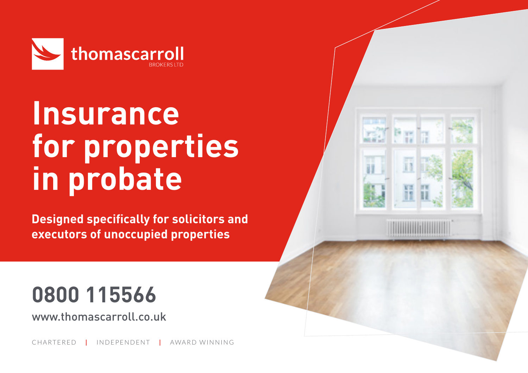

# **Insurance for properties in probate**

**Designed specifically for solicitors and executors of unoccupied properties**

## **0800 115566**

www.thomascarroll.co.uk

CHARTERED **|** INDEPENDENT **|** AWARD WINNING